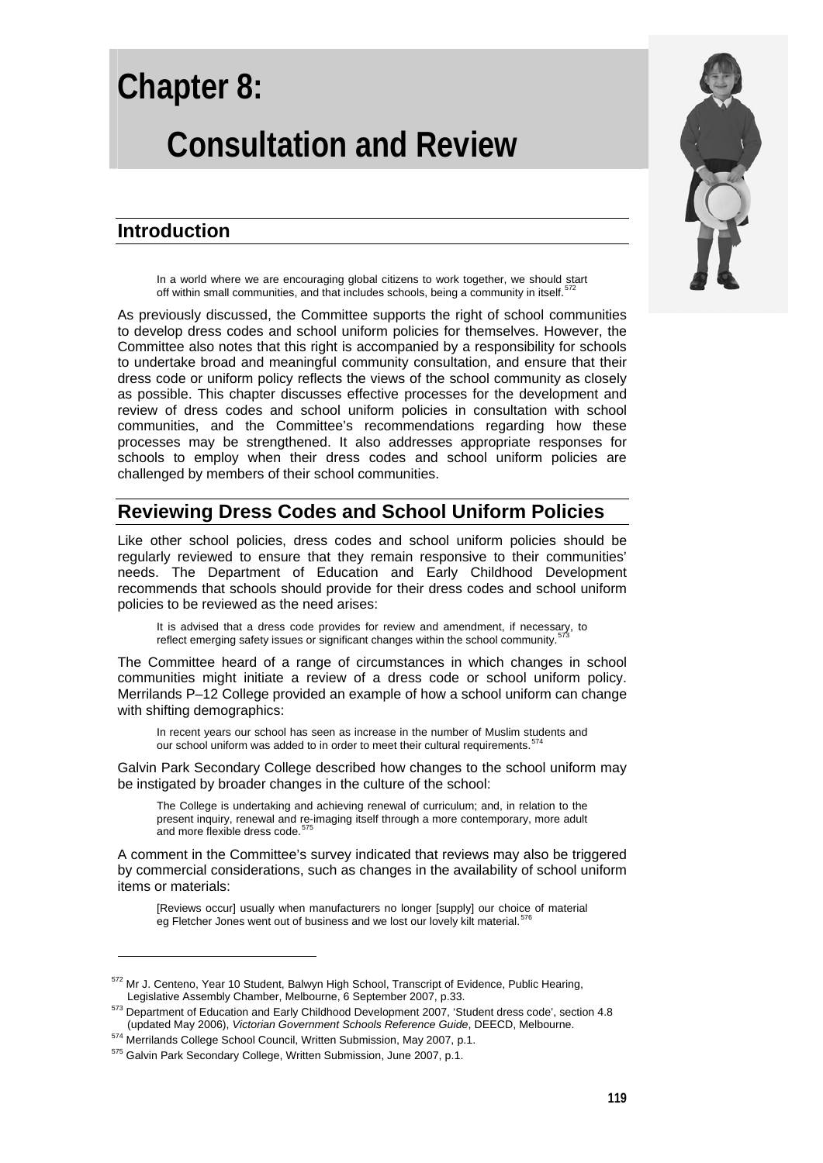# **Chapter 8: Consultation and Review**

### **Introduction**

In a world where we are encouraging global citizens to work together, we should start off within small communities, and that includes schools, being a community in itself.<sup>57</sup>

As previously discussed, the Committee supports the right of school communities to develop dress codes and school uniform policies for themselves. However, the Committee also notes that this right is accompanied by a responsibility for schools to undertake broad and meaningful community consultation, and ensure that their dress code or uniform policy reflects the views of the school community as closely as possible. This chapter discusses effective processes for the development and review of dress codes and school uniform policies in consultation with school communities, and the Committee's recommendations regarding how these processes may be strengthened. It also addresses appropriate responses for schools to employ when their dress codes and school uniform policies are challenged by members of their school communities.

## **Reviewing Dress Codes and School Uniform Policies**

Like other school policies, dress codes and school uniform policies should be regularly reviewed to ensure that they remain responsive to their communities' needs. The Department of Education and Early Childhood Development recommends that schools should provide for their dress codes and school uniform policies to be reviewed as the need arises:

It is advised that a dress code provides for review and amendment, if necessary, to reflect emerging safety issues or significant changes within the school community.

The Committee heard of a range of circumstances in which changes in school communities might initiate a review of a dress code or school uniform policy. Merrilands P–12 College provided an example of how a school uniform can change with shifting demographics:

In recent years our school has seen as increase in the number of Muslim students and our school uniform was added to in order to meet their cultural requirements.<sup>5</sup>

Galvin Park Secondary College described how changes to the school uniform may be instigated by broader changes in the culture of the school:

The College is undertaking and achieving renewal of curriculum; and, in relation to the present inquiry, renewal and re-imaging itself through a more contemporary, more adult and more flexible dress code.<sup>5</sup>

A comment in the Committee's survey indicated that reviews may also be triggered by commercial considerations, such as changes in the availability of school uniform items or materials:

[Reviews occur] usually when manufacturers no longer [supply] our choice of material<br>eg Fletcher Jones went out of business and we lost our lovely kilt material.<sup>[576](#page-0-4)</sup>

<span id="page-0-4"></span><span id="page-0-0"></span> $572$  Mr J. Centeno, Year 10 Student, Balwyn High School, Transcript of Evidence, Public Hearing,<br>Legislative Assembly Chamber, Melbourne, 6 September 2007, p.33.

<sup>&</sup>lt;sup>573</sup> Department of Education and Early Childhood Development 2007, 'Student dress code', section 4.8<br>(updated May 2006), *Victorian Government Schools Reference Guide*, DEECD, Melbourne.

<span id="page-0-2"></span><span id="page-0-1"></span> $574$  Merrilands College School Council, Written Submission, May 2007, p.1.<br> $575$  Galvin Park Secondary College. Written Submission. June 2007, p.1.

<span id="page-0-3"></span>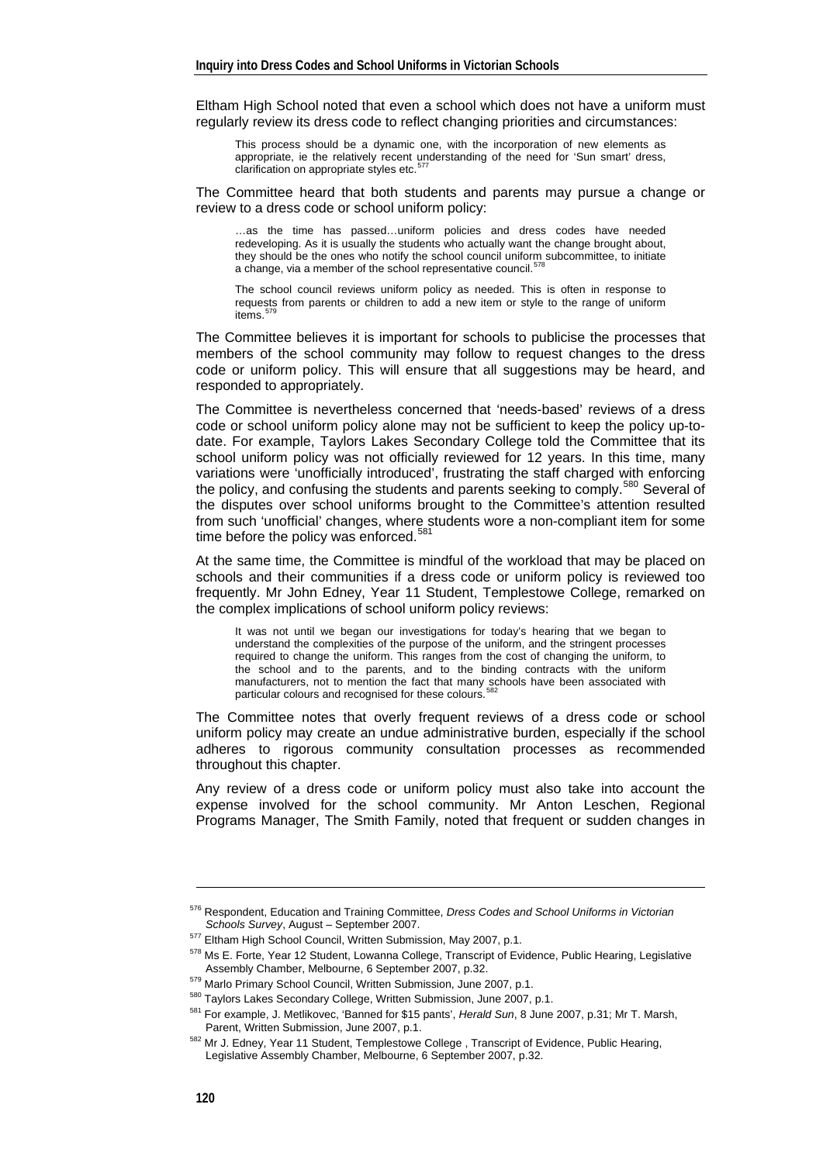Eltham High School noted that even a school which does not have a uniform must regularly review its dress code to reflect changing priorities and circumstances:

This process should be a dynamic one, with the incorporation of new elements as appropriate, ie the relatively recent understanding of the need for 'Sun smart' dress, clarification on appropriate styles etc.<sup>[577](#page-1-0)</sup>

The Committee heard that both students and parents may pursue a change or review to a dress code or school uniform policy:

…as the time has passed…uniform policies and dress codes have needed redeveloping. As it is usually the students who actually want the change brought about, they should be the ones who notify the school council uniform subcommittee, to initiate a change, via a member of the school representative council.<sup>[578](#page-1-1)</sup>

The school council reviews uniform policy as needed. This is often in response to requests from parents or children to add a new item or style to the range of uniform items.<sup>[579](#page-1-2)</sup>

The Committee believes it is important for schools to publicise the processes that members of the school community may follow to request changes to the dress code or uniform policy. This will ensure that all suggestions may be heard, and responded to appropriately.

The Committee is nevertheless concerned that 'needs-based' reviews of a dress code or school uniform policy alone may not be sufficient to keep the policy up-todate. For example, Taylors Lakes Secondary College told the Committee that its school uniform policy was not officially reviewed for 12 years. In this time, many variations were 'unofficially introduced', frustrating the staff charged with enforcing the policy, and confusing the students and parents seeking to comply.<sup>[580](#page-1-3)</sup> Several of the disputes over school uniforms brought to the Committee's attention resulted from such 'unofficial' changes, where students wore a non-compliant item for some time before the policy was enforced.<sup>5</sup>

At the same time, the Committee is mindful of the workload that may be placed on schools and their communities if a dress code or uniform policy is reviewed too frequently. Mr John Edney, Year 11 Student, Templestowe College, remarked on the complex implications of school uniform policy reviews:

It was not until we began our investigations for today's hearing that we began to understand the complexities of the purpose of the uniform, and the stringent processes required to change the uniform. This ranges from the cost of changing the uniform, to the school and to the parents, and to the binding contracts with the uniform manufacturers, not to mention the fact that many schools have been associated with particular colours and recognised for these colours.

The Committee notes that overly frequent reviews of a dress code or school uniform policy may create an undue administrative burden, especially if the school adheres to rigorous community consultation processes as recommended throughout this chapter.

Any review of a dress code or uniform policy must also take into account the expense involved for the school community. Mr Anton Leschen, Regional Programs Manager, The Smith Family, noted that frequent or sudden changes in

<sup>576</sup> Respondent, Education and Training Committee, *Dress Codes and School Uniforms in Victorian* 

<span id="page-1-0"></span>*Schools Survey*, August – September 2007.<br><sup>577</sup> Eltham High School Council, Written Submission, May 2007, p.1.<br><sup>578</sup> Ms E. Forte, Year 12 Student, Lowanna College, Transcript of Evidence, Public Hearing, Legislative

<span id="page-1-3"></span><span id="page-1-2"></span><span id="page-1-1"></span>Assembly Chamber, Melbourne, 6 September 2007, p.32.<br>
<sup>579</sup> Marlo Primary School Council, Written Submission, June 2007, p.1.<br>
<sup>580</sup> Taylors Lakes Secondary College, Written Submission, June 2007, p.1.<br>
<sup>581</sup> For example,

<span id="page-1-5"></span><span id="page-1-4"></span><sup>&</sup>lt;sup>582</sup> Mr J. Edney, Year 11 Student, Templestowe College, Transcript of Evidence, Public Hearing, Legislative Assembly Chamber, Melbourne, 6 September 2007, p.32.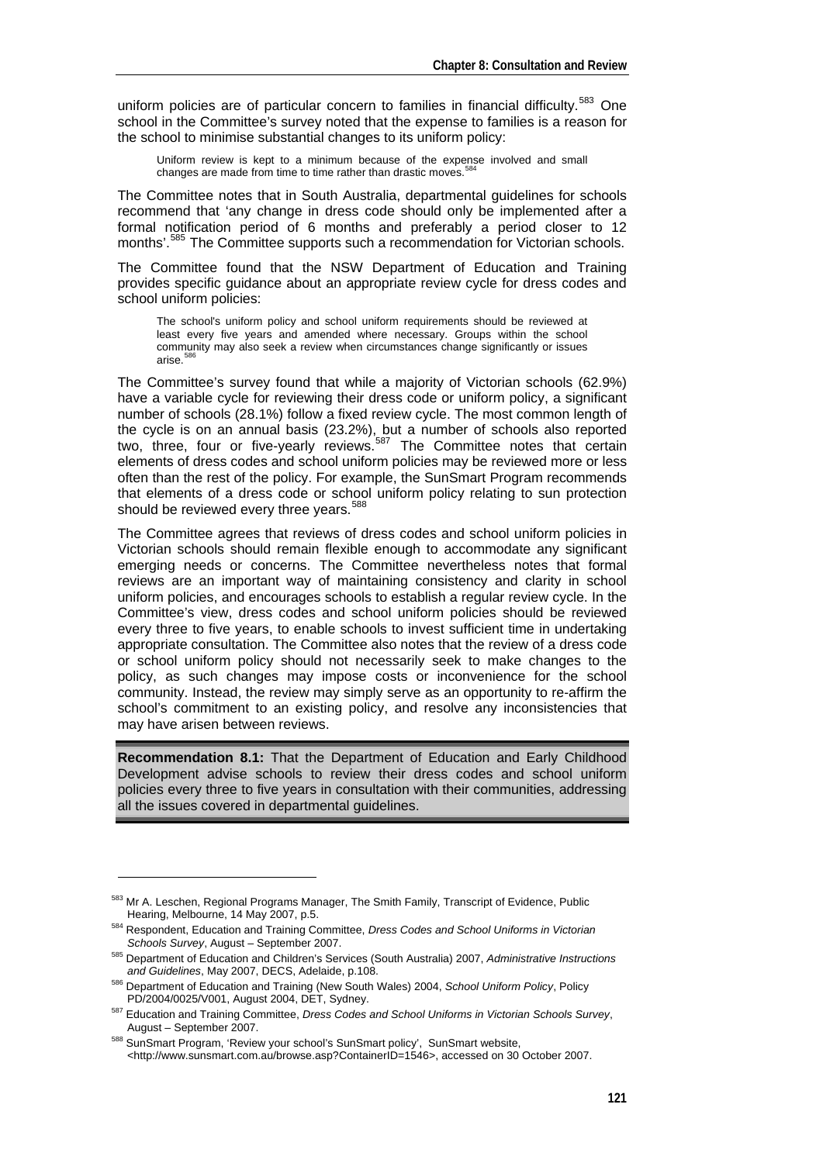uniform policies are of particular concern to families in financial difficulty.<sup>[583](#page-2-0)</sup> One school in the Committee's survey noted that the expense to families is a reason for the school to minimise substantial changes to its uniform policy:

Uniform review is kept to a minimum because of the expense involved and small changes are made from time to time rather than drastic moves.<sup>5</sup>

The Committee notes that in South Australia, departmental guidelines for schools recommend that 'any change in dress code should only be implemented after a formal notification period of 6 months and preferably a period closer to 12 months'.<sup>[585](#page-2-2)</sup> The Committee supports such a recommendation for Victorian schools.

The Committee found that the NSW Department of Education and Training provides specific guidance about an appropriate review cycle for dress codes and school uniform policies:

The school's uniform policy and school uniform requirements should be reviewed at least every five years and amended where necessary. Groups within the school community may also seek a review when circumstances change significantly or issues arise. $5$ 

The Committee's survey found that while a majority of Victorian schools (62.9%) have a variable cycle for reviewing their dress code or uniform policy, a significant number of schools (28.1%) follow a fixed review cycle. The most common length of the cycle is on an annual basis (23.2%), but a number of schools also reported two, three, four or five-yearly reviews.<sup>[587](#page-2-4)</sup> The Committee notes that certain elements of dress codes and school uniform policies may be reviewed more or less often than the rest of the policy. For example, the SunSmart Program recommends that elements of a dress code or school uniform policy relating to sun protection should be reviewed every three years.<sup>[588](#page-2-5)</sup>

The Committee agrees that reviews of dress codes and school uniform policies in Victorian schools should remain flexible enough to accommodate any significant emerging needs or concerns. The Committee nevertheless notes that formal reviews are an important way of maintaining consistency and clarity in school uniform policies, and encourages schools to establish a regular review cycle. In the Committee's view, dress codes and school uniform policies should be reviewed every three to five years, to enable schools to invest sufficient time in undertaking appropriate consultation. The Committee also notes that the review of a dress code or school uniform policy should not necessarily seek to make changes to the policy, as such changes may impose costs or inconvenience for the school community. Instead, the review may simply serve as an opportunity to re-affirm the school's commitment to an existing policy, and resolve any inconsistencies that may have arisen between reviews.

**Recommendation 8.1:** That the Department of Education and Early Childhood Development advise schools to review their dress codes and school uniform policies every three to five years in consultation with their communities, addressing all the issues covered in departmental guidelines.

<span id="page-2-0"></span><sup>&</sup>lt;sup>583</sup> Mr A. Leschen, Regional Programs Manager, The Smith Family, Transcript of Evidence, Public<br>Hearing, Melbourne, 14 May 2007, p.5.

<span id="page-2-1"></span><sup>&</sup>lt;sup>584</sup> Respondent, Education and Training Committee, *Dress Codes and School Uniforms in Victorian*<br>Schools Survey, August – September 2007,

<span id="page-2-2"></span><sup>&</sup>lt;sup>585</sup> Department of Education and Children's Services (South Australia) 2007, *Administrative Instructions* 

*and Guidelines*, May 2007, DECS, Adelaide, p.108. 586 Department of Education and Training (New South Wales) 2004, *School Uniform Policy*, Policy

<span id="page-2-4"></span><span id="page-2-3"></span>PD/2004/0025/V001, August 2004, DET, Sydney.<br><sup>587</sup> Education and Training Committee, *Dress Codes and School Uniforms in Victorian Schools Survey*,<br>August – September 2007.

<span id="page-2-5"></span><sup>588</sup> SunSmart Program, 'Review your school's SunSmart policy', SunSmart website, <http://www.sunsmart.com.au/browse.asp?ContainerID=1546>, accessed on 30 October 2007.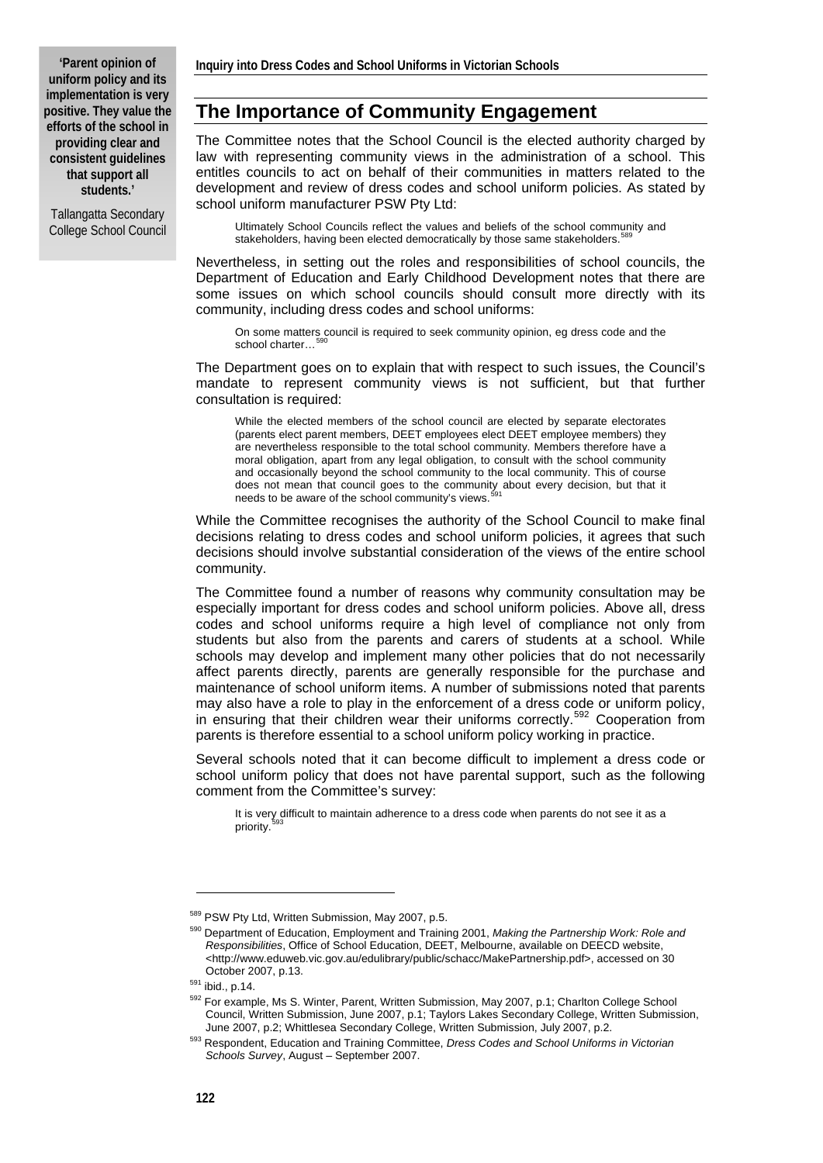Tallangatta Secondary College School Council

## **The Importance of Community Engagement**

The Committee notes that the School Council is the elected authority charged by law with representing community views in the administration of a school. This entitles councils to act on behalf of their communities in matters related to the development and review of dress codes and school uniform policies. As stated by school uniform manufacturer PSW Pty Ltd:

Ultimately School Councils reflect the values and beliefs of the school community and stakeholders, having been elected democratically by those same stakeholders.<sup>5</sup>

Nevertheless, in setting out the roles and responsibilities of school councils, the Department of Education and Early Childhood Development notes that there are some issues on which school councils should consult more directly with its community, including dress codes and school uniforms:

On some matters council is required to seek community opinion, eg dress code and the school charter...

The Department goes on to explain that with respect to such issues, the Council's mandate to represent community views is not sufficient, but that further consultation is required:

While the elected members of the school council are elected by separate electorates (parents elect parent members, DEET employees elect DEET employee members) they are nevertheless responsible to the total school community. Members therefore have a moral obligation, apart from any legal obligation, to consult with the school community and occasionally beyond the school community to the local community. This of course does not mean that council goes to the community about every decision, but that it needs to be aware of the school community's views.

While the Committee recognises the authority of the School Council to make final decisions relating to dress codes and school uniform policies, it agrees that such decisions should involve substantial consideration of the views of the entire school community.

The Committee found a number of reasons why community consultation may be especially important for dress codes and school uniform policies. Above all, dress codes and school uniforms require a high level of compliance not only from students but also from the parents and carers of students at a school. While schools may develop and implement many other policies that do not necessarily affect parents directly, parents are generally responsible for the purchase and maintenance of school uniform items. A number of submissions noted that parents may also have a role to play in the enforcement of a dress code or uniform policy, in ensuring that their children wear their uniforms correctly.<sup>[592](#page-3-3)</sup> Cooperation from parents is therefore essential to a school uniform policy working in practice.

Several schools noted that it can become difficult to implement a dress code or school uniform policy that does not have parental support, such as the following comment from the Committee's survey:

It is very difficult to maintain adherence to a dress code when parents do not see it as a priority.

<span id="page-3-1"></span><span id="page-3-0"></span><sup>589</sup> PSW Pty Ltd, Written Submission, May 2007, p.5.<br><sup>590</sup> Department of Education, Employment and Training 2001, *Making the Partnership Work: Role and Responsibilities*, Office of School Education, DEET, Melbourne, available on DEECD website, <http://www.eduweb.vic.gov.au/edulibrary/public/schacc/MakePartnership.pdf>, accessed on 30

<span id="page-3-3"></span>

<span id="page-3-2"></span>October 2007, p.13.<br>
<sup>591</sup> ibid., p.14.<br>
<sup>592</sup> For example, Ms S. Winter, Parent, Written Submission, May 2007, p.1; Charlton College School Council, Written Submission, June 2007, p.1; Taylors Lakes Secondary College, Written Submission,<br>June 2007, p.2; Whittlesea Secondary College, Written Submission, July 2007, p.2.

<span id="page-3-4"></span><sup>&</sup>lt;sup>593</sup> Respondent, Education and Training Committee, Dress Codes and School Uniforms in Victorian *Schools Survey*, August – September 2007.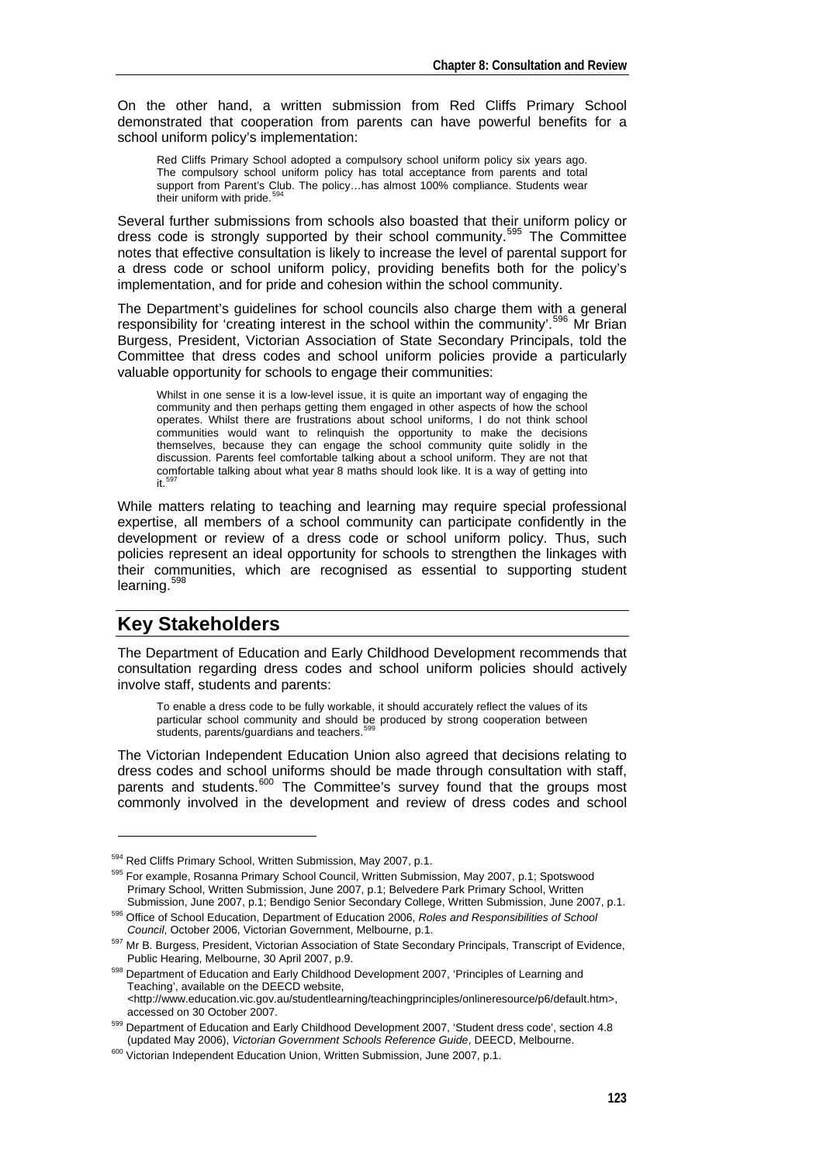On the other hand, a written submission from Red Cliffs Primary School demonstrated that cooperation from parents can have powerful benefits for a school uniform policy's implementation:

Red Cliffs Primary School adopted a compulsory school uniform policy six years ago. The compulsory school uniform policy has total acceptance from parents and total support from Parent's Club. The policy…has almost 100% compliance. Students wear their uniform with pride.<sup>5</sup>

Several further submissions from schools also boasted that their uniform policy or dress code is strongly supported by their school community.<sup>[595](#page-4-1)</sup> The Committee notes that effective consultation is likely to increase the level of parental support for a dress code or school uniform policy, providing benefits both for the policy's implementation, and for pride and cohesion within the school community.

The Department's guidelines for school councils also charge them with a general responsibility for 'creating interest in the school within the community'.<sup>[596](#page-4-2)</sup> Mr Brian Burgess, President, Victorian Association of State Secondary Principals, told the Committee that dress codes and school uniform policies provide a particularly valuable opportunity for schools to engage their communities:

Whilst in one sense it is a low-level issue, it is quite an important way of engaging the community and then perhaps getting them engaged in other aspects of how the school operates. Whilst there are frustrations about school uniforms, I do not think school communities would want to relinquish the opportunity to make the decisions themselves, because they can engage the school community quite solidly in the discussion. Parents feel comfortable talking about a school uniform. They are not that comfortable talking about what year 8 maths should look like. It is a way of getting into  $\mathbf{H}$ .

While matters relating to teaching and learning may require special professional expertise, all members of a school community can participate confidently in the development or review of a dress code or school uniform policy. Thus, such policies represent an ideal opportunity for schools to strengthen the linkages with their communities, which are recognised as essential to supporting student learning.<sup>[598](#page-4-4)</sup>

## **Key Stakeholders**

-

The Department of Education and Early Childhood Development recommends that consultation regarding dress codes and school uniform policies should actively involve staff, students and parents:

To enable a dress code to be fully workable, it should accurately reflect the values of its particular school community and should be produced by strong cooperation between students, parents/guardians and teachers.<sup>59</sup>

The Victorian Independent Education Union also agreed that decisions relating to dress codes and school uniforms should be made through consultation with staff, parents and students.<sup>[600](#page-4-6)</sup> The Committee's survey found that the groups most commonly involved in the development and review of dress codes and school

<span id="page-4-1"></span><span id="page-4-0"></span><sup>&</sup>lt;sup>594</sup> Red Cliffs Primary School, Written Submission, May 2007, p.1.<br><sup>595</sup> For example. Rosanna Primary School Council, Written Submission, May 2007, p.1; Spotswood Primary School, Written Submission, June 2007, p.1; Belvedere Park Primary School, Written

<span id="page-4-2"></span><sup>&</sup>lt;sup>596</sup> Office of School Education, Department of Education 2006, Roles and Responsibilities of School Council, October 2006, Victorian Government, Melbourne, p.1.

<span id="page-4-3"></span><sup>&</sup>lt;sup>597</sup> Mr B. Burgess, President, Victorian Association of State Secondary Principals, Transcript of Evidence,<br>Public Hearing, Melbourne, 30 April 2007, p.9.

<span id="page-4-4"></span><sup>598</sup> Department of Education and Early Childhood Development 2007, 'Principles of Learning and Teaching', available on the DEECD website, *<*http://www.education.vic.gov.au/studentlearning/teachingprinciples/onlineresource/p6/default.htm>,

<span id="page-4-5"></span>accessed on 30 October 2007.<br><sup>599</sup> Department of Education and Early Childhood Development 2007, 'Student dress code', section 4.8<br>updated May 2006). Victorian Government Schools Reference Guide. DEECD. Melbourne.

<span id="page-4-6"></span><sup>&</sup>lt;sup>600</sup> Victorian Independent Education Union, Written Submission, June 2007, p.1.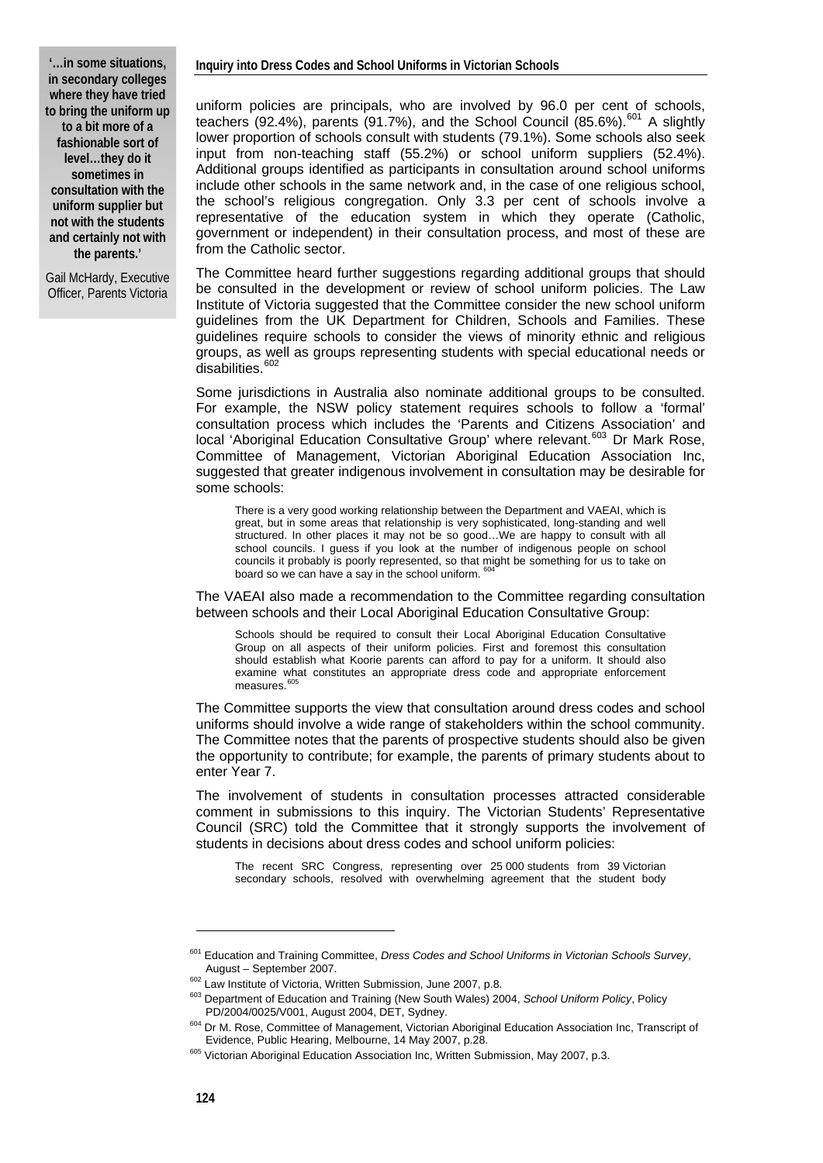**'…in some situations, in secondary colleges where they have tried to bring the uniform up to a bit more of a fashionable sort of level…they do it sometimes in consultation with the uniform supplier but not with the students and certainly not with the parents.'** 

Gail McHardy, Executive Officer, Parents Victoria

uniform policies are principals, who are involved by 96.0 per cent of schools, teachers (92.4%), parents (91.7%), and the School Council (85.6%).<sup>[601](#page-5-0)</sup> A slightly lower proportion of schools consult with students (79.1%). Some schools also seek input from non-teaching staff (55.2%) or school uniform suppliers (52.4%). Additional groups identified as participants in consultation around school uniforms include other schools in the same network and, in the case of one religious school, the school's religious congregation. Only 3.3 per cent of schools involve a representative of the education system in which they operate (Catholic, government or independent) in their consultation process, and most of these are from the Catholic sector.

The Committee heard further suggestions regarding additional groups that should be consulted in the development or review of school uniform policies. The Law Institute of Victoria suggested that the Committee consider the new school uniform guidelines from the UK Department for Children, Schools and Families. These guidelines require schools to consider the views of minority ethnic and religious groups, as well as groups representing students with special educational needs or disabilities.<sup>[602](#page-5-1)</sup>

Some jurisdictions in Australia also nominate additional groups to be consulted. For example, the NSW policy statement requires schools to follow a 'formal' consultation process which includes the 'Parents and Citizens Association' and local 'Aboriginal Education Consultative Group' where relevant.<sup>[603](#page-5-2)</sup> Dr Mark Rose, Committee of Management, Victorian Aboriginal Education Association Inc, suggested that greater indigenous involvement in consultation may be desirable for some schools:

There is a very good working relationship between the Department and VAEAI, which is great, but in some areas that relationship is very sophisticated, long-standing and well structured. In other places it may not be so good…We are happy to consult with all school councils. I guess if you look at the number of indigenous people on school councils it probably is poorly represented, so that might be something for us to take on board so we can have a say in the school uniform.

The VAEAI also made a recommendation to the Committee regarding consultation between schools and their Local Aboriginal Education Consultative Group:

Schools should be required to consult their Local Aboriginal Education Consultative Group on all aspects of their uniform policies. First and foremost this consultation should establish what Koorie parents can afford to pay for a uniform. It should also examine what constitutes an appropriate dress code and appropriate enforcement measures.<sup>60</sup>

The Committee supports the view that consultation around dress codes and school uniforms should involve a wide range of stakeholders within the school community. The Committee notes that the parents of prospective students should also be given the opportunity to contribute; for example, the parents of primary students about to enter Year 7.

The involvement of students in consultation processes attracted considerable comment in submissions to this inquiry. The Victorian Students' Representative Council (SRC) told the Committee that it strongly supports the involvement of students in decisions about dress codes and school uniform policies:

The recent SRC Congress, representing over 25 000 students from 39 Victorian secondary schools, resolved with overwhelming agreement that the student body

<span id="page-5-0"></span><sup>601</sup> Education and Training Committee, *Dress Codes and School Uniforms in Victorian Schools Survey*,

<span id="page-5-1"></span>August – September 2007.<br><sup>602</sup> Law Institute of Victoria, Written Submission, June 2007, p.8.<br><sup>603</sup> Department of Education and Training (New South Wales) 2004, *School Uniform Policy*, Policy

<span id="page-5-3"></span><span id="page-5-2"></span>PD/2004/0025/V001, August 2004, DET, Sydney.<br><sup>604</sup> Dr M. Rose, Committee of Management, Victorian Aboriginal Education Association Inc, Transcript of<br>Evidence, Public Hearing, Melbourne, 14 May 2007, p.28.

<span id="page-5-4"></span><sup>&</sup>lt;sup>605</sup> Victorian Aboriginal Education Association Inc, Written Submission, May 2007, p.3.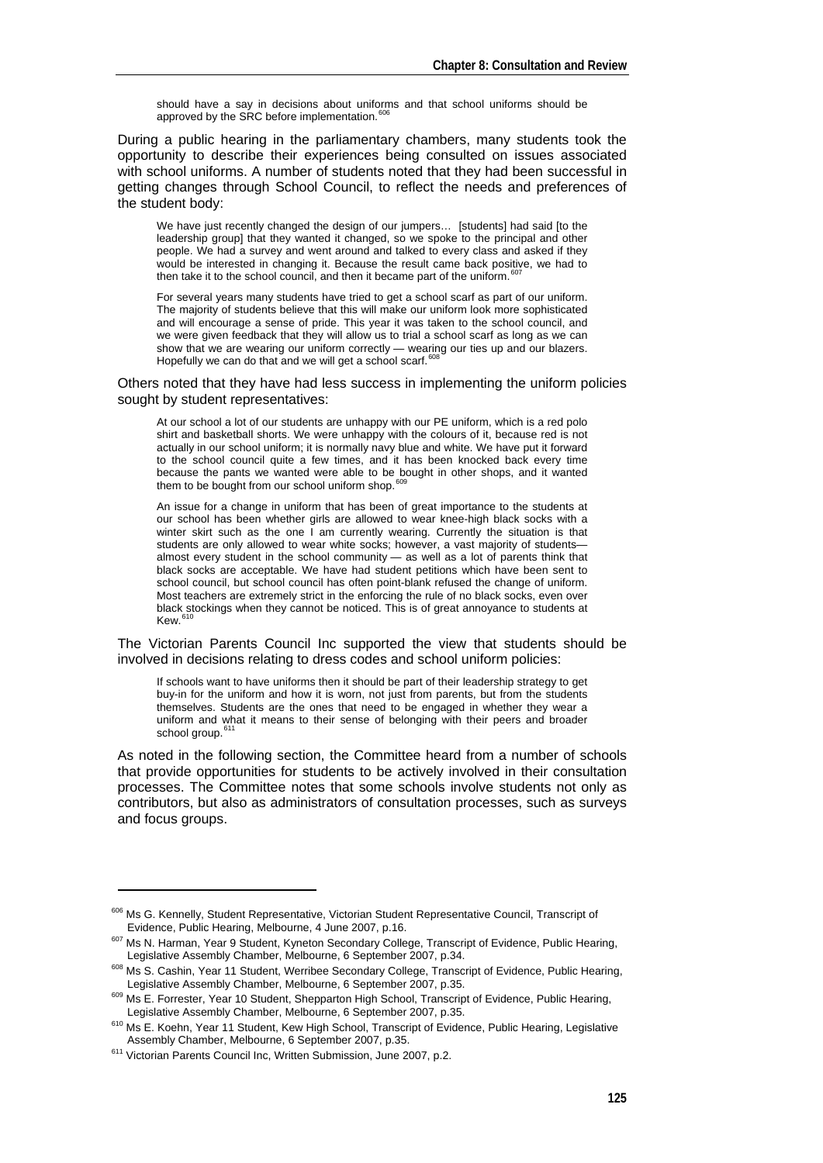should have a say in decisions about uniforms and that school uniforms should be approved by the SRC before implementation.<sup>6</sup>

During a public hearing in the parliamentary chambers, many students took the opportunity to describe their experiences being consulted on issues associated with school uniforms. A number of students noted that they had been successful in getting changes through School Council, to reflect the needs and preferences of the student body:

We have just recently changed the design of our jumpers... [students] had said [to the leadership group] that they wanted it changed, so we spoke to the principal and other people. We had a survey and went around and talked to every class and asked if they would be interested in changing it. Because the result came back positive, we had to then take it to the school council, and then it became part of the uniform.  $60^\circ$ 

For several years many students have tried to get a school scarf as part of our uniform. The majority of students believe that this will make our uniform look more sophisticated and will encourage a sense of pride. This year it was taken to the school council, and we were given feedback that they will allow us to trial a school scarf as long as we can show that we are wearing our uniform correctly — wearing our ties up and our blazers. Hopefully we can do that and we will get a school scarf.<sup>[608](#page-6-2)</sup>

Others noted that they have had less success in implementing the uniform policies sought by student representatives:

At our school a lot of our students are unhappy with our PE uniform, which is a red polo shirt and basketball shorts. We were unhappy with the colours of it, because red is not actually in our school uniform; it is normally navy blue and white. We have put it forward to the school council quite a few times, and it has been knocked back every time because the pants we wanted were able to be bought in other shops, and it wanted them to be bought from our school uniform shop.<sup>[609](#page-6-3)</sup>

An issue for a change in uniform that has been of great importance to the students at our school has been whether girls are allowed to wear knee-high black socks with a winter skirt such as the one I am currently wearing. Currently the situation is that students are only allowed to wear white socks; however, a vast majority of studentsalmost every student in the school community — as well as a lot of parents think that black socks are acceptable. We have had student petitions which have been sent to school council, but school council has often point-blank refused the change of uniform. Most teachers are extremely strict in the enforcing the rule of no black socks, even over black stockings when they cannot be noticed. This is of great annoyance to students at  $K_{\text{M}}$ <sup>6</sup>

The Victorian Parents Council Inc supported the view that students should be involved in decisions relating to dress codes and school uniform policies:

If schools want to have uniforms then it should be part of their leadership strategy to get buy-in for the uniform and how it is worn, not just from parents, but from the students themselves. Students are the ones that need to be engaged in whether they wear a uniform and what it means to their sense of belonging with their peers and broader school group.<sup>[611](#page-6-5)</sup>

As noted in the following section, the Committee heard from a number of schools that provide opportunities for students to be actively involved in their consultation processes. The Committee notes that some schools involve students not only as contributors, but also as administrators of consultation processes, such as surveys and focus groups.

<span id="page-6-0"></span><sup>&</sup>lt;sup>606</sup> Ms G. Kennelly, Student Representative, Victorian Student Representative Council, Transcript of Evidence, Public Hearing, Melbourne, 4 June 2007, p.16.

<sup>&</sup>lt;sup>607</sup> Ms N. Harman, Year 9 Student, Kyneton Secondary College, Transcript of Evidence, Public Hearing,

<span id="page-6-1"></span>Legislative Assembly Chamber, Melbourne, 6 September 2007, p.34.<br><sup>608</sup> Ms S. Cashin, Year 11 Student, Werribee Secondary College, Transcript of Evidence, Public Hearing,

<span id="page-6-3"></span><span id="page-6-2"></span>Legislative Assembly Chamber, Melbourne, 6 September 2007, p.35.<br><sup>609</sup> Ms E. Forrester, Year 10 Student, Shepparton High School, Transcript of Evidence, Public Hearing,<br>Legislative Assembly Chamber, Melbourne, 6 September

<span id="page-6-4"></span> $610$  Ms E. Koehn, Year 11 Student, Kew High School, Transcript of Evidence, Public Hearing, Legislative Assembly Chamber, Melbourne, 6 September 2007, p.35.

<span id="page-6-5"></span><sup>&</sup>lt;sup>611</sup> Victorian Parents Council Inc, Written Submission, June 2007, p.2.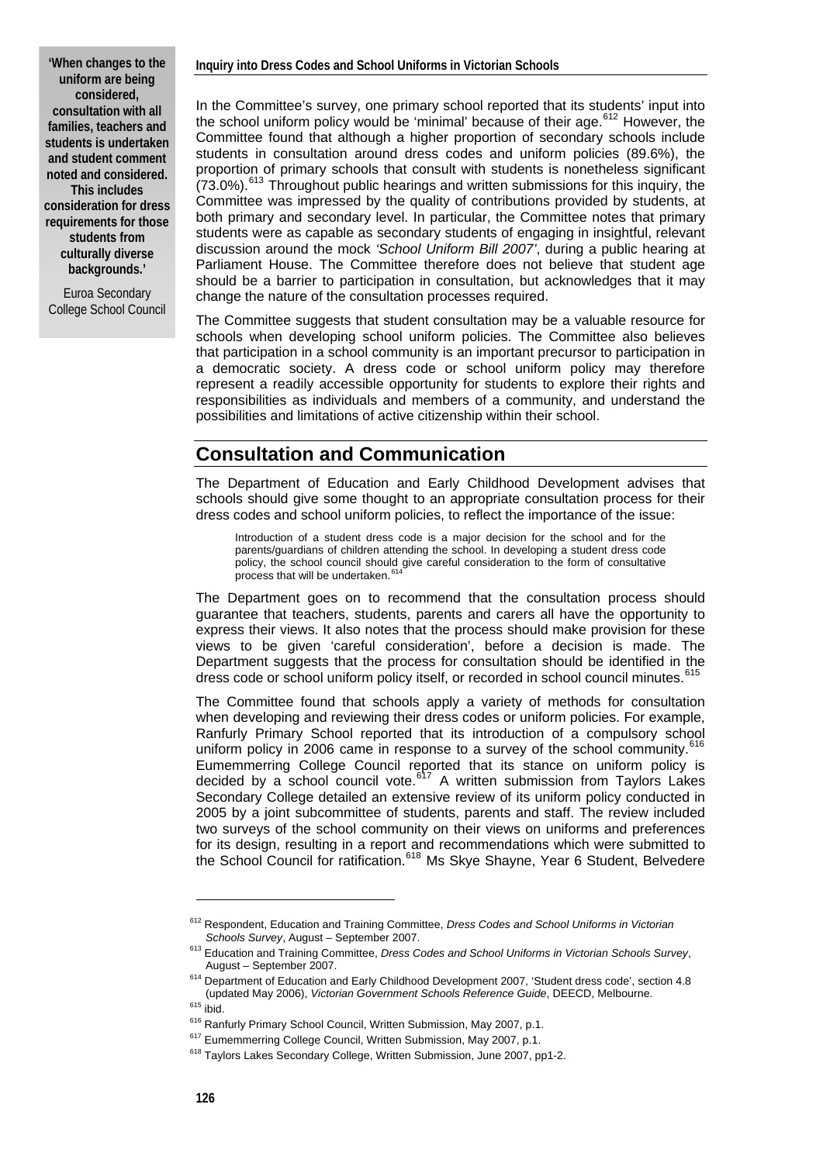**'When changes to the uniform are being considered, consultation with all families, teachers and students is undertaken and student comment noted and considered. This includes consideration for dress requirements for those students from culturally diverse backgrounds.'** 

Euroa Secondary College School Council In the Committee's survey, one primary school reported that its students' input into the school uniform policy would be 'minimal' because of their age.<sup>[612](#page-7-0)</sup> However, the Committee found that although a higher proportion of secondary schools include students in consultation around dress codes and uniform policies (89.6%), the proportion of primary schools that consult with students is nonetheless significant  $(73.0\%)$ .<sup>[613](#page-7-1)</sup> Throughout public hearings and written submissions for this inquiry, the Committee was impressed by the quality of contributions provided by students, at both primary and secondary level. In particular, the Committee notes that primary students were as capable as secondary students of engaging in insightful, relevant discussion around the mock *'School Uniform Bill 2007'*, during a public hearing at Parliament House. The Committee therefore does not believe that student age should be a barrier to participation in consultation, but acknowledges that it may change the nature of the consultation processes required.

The Committee suggests that student consultation may be a valuable resource for schools when developing school uniform policies. The Committee also believes that participation in a school community is an important precursor to participation in a democratic society. A dress code or school uniform policy may therefore represent a readily accessible opportunity for students to explore their rights and responsibilities as individuals and members of a community, and understand the possibilities and limitations of active citizenship within their school.

#### **Consultation and Communication**

The Department of Education and Early Childhood Development advises that schools should give some thought to an appropriate consultation process for their dress codes and school uniform policies, to reflect the importance of the issue:

Introduction of a student dress code is a major decision for the school and for the parents/guardians of children attending the school. In developing a student dress code policy, the school council should give careful consideration to the form of consultative process that will be undertaken.

The Department goes on to recommend that the consultation process should guarantee that teachers, students, parents and carers all have the opportunity to express their views. It also notes that the process should make provision for these views to be given 'careful consideration', before a decision is made. The Department suggests that the process for consultation should be identified in the dress code or school uniform policy itself, or recorded in school council minutes.<sup>4</sup>

The Committee found that schools apply a variety of methods for consultation when developing and reviewing their dress codes or uniform policies. For example, Ranfurly Primary School reported that its introduction of a compulsory school uniform policy in 2006 came in response to a survey of the school community.<sup>[616](#page-7-4)</sup> Eumemmerring College Council reported that its stance on uniform policy is decided by a school council vote.<sup>[617](#page-7-5)</sup> A written submission from Taylors Lakes Secondary College detailed an extensive review of its uniform policy conducted in 2005 by a joint subcommittee of students, parents and staff. The review included two surveys of the school community on their views on uniforms and preferences for its design, resulting in a report and recommendations which were submitted to the School Council for ratification.<sup>[618](#page-7-6)</sup> Ms Skye Shayne, Year 6 Student, Belvedere

<span id="page-7-0"></span><sup>612</sup> Respondent, Education and Training Committee, *Dress Codes and School Uniforms in Victorian* 

*Schools Survey*, August – September 2007. 613 Education and Training Committee, *Dress Codes and School Uniforms in Victorian Schools Survey*,

<span id="page-7-1"></span>August – September 2007.<br><sup>614</sup> Department of Education and Early Childhood Development 2007, 'Student dress code', section 4.8<br>(updated May 2006). *Victorian Government Schools Reference Guide*. DEECD. Melbourne.

<span id="page-7-6"></span><span id="page-7-5"></span><span id="page-7-4"></span>

<span id="page-7-3"></span><span id="page-7-2"></span><sup>&</sup>lt;sup>615</sup> ibid.<br><sup>616</sup> Ranfurly Primary School Council, Written Submission, May 2007, p.1.<br><sup>617</sup> Eumemmerring College Council, Written Submission, May 2007, p.1.<br><sup>618</sup> Taylors Lakes Secondary College, Written Submission, June 2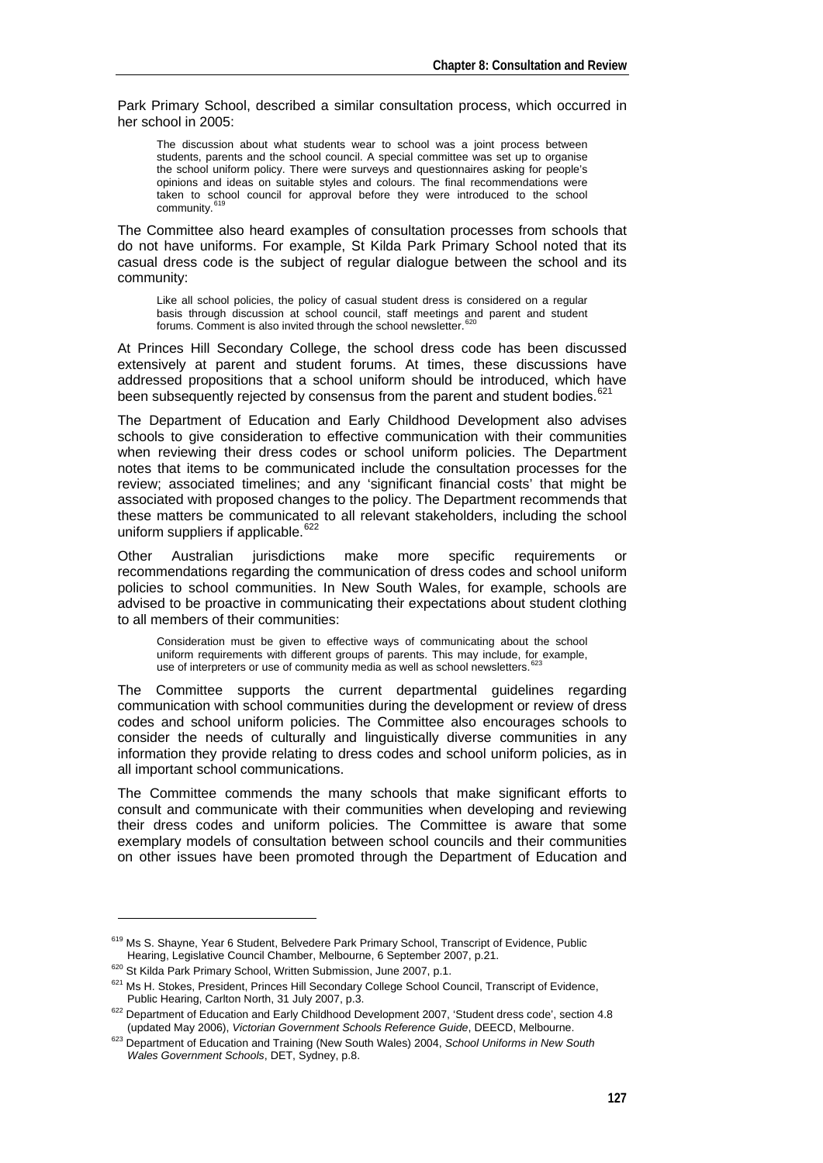Park Primary School, described a similar consultation process, which occurred in her school in 2005:

The discussion about what students wear to school was a joint process between students, parents and the school council. A special committee was set up to organise the school uniform policy. There were surveys and questionnaires asking for people's opinions and ideas on suitable styles and colours. The final recommendations were taken to school council for approval before they were introduced to the school community.<sup>[619](#page-8-0)</sup>

The Committee also heard examples of consultation processes from schools that do not have uniforms. For example, St Kilda Park Primary School noted that its casual dress code is the subject of regular dialogue between the school and its community:

Like all school policies, the policy of casual student dress is considered on a regular basis through discussion at school council, staff meetings and parent and student<br>forums. Comment is also invited through the school newsletter.<sup>[620](#page-8-1)</sup>

At Princes Hill Secondary College, the school dress code has been discussed extensively at parent and student forums. At times, these discussions have addressed propositions that a school uniform should be introduced, which have been subsequently rejected by consensus from the parent and student bodies. $621$ 

The Department of Education and Early Childhood Development also advises schools to give consideration to effective communication with their communities when reviewing their dress codes or school uniform policies. The Department notes that items to be communicated include the consultation processes for the review; associated timelines; and any 'significant financial costs' that might be associated with proposed changes to the policy. The Department recommends that these matters be communicated to all relevant stakeholders, including the school uniform suppliers if applicable.<sup>62</sup>

Other Australian jurisdictions make more specific requirements or recommendations regarding the communication of dress codes and school uniform policies to school communities. In New South Wales, for example, schools are advised to be proactive in communicating their expectations about student clothing to all members of their communities:

Consideration must be given to effective ways of communicating about the school uniform requirements with different groups of parents. This may include, for example, use of interpreters or use of community media as well as school newsletters.<sup>6</sup>

The Committee supports the current departmental guidelines regarding communication with school communities during the development or review of dress codes and school uniform policies. The Committee also encourages schools to consider the needs of culturally and linguistically diverse communities in any information they provide relating to dress codes and school uniform policies, as in all important school communications.

The Committee commends the many schools that make significant efforts to consult and communicate with their communities when developing and reviewing their dress codes and uniform policies. The Committee is aware that some exemplary models of consultation between school councils and their communities on other issues have been promoted through the Department of Education and

<span id="page-8-0"></span><sup>&</sup>lt;sup>619</sup> Ms S. Shayne, Year 6 Student, Belvedere Park Primary School, Transcript of Evidence, Public<br>Hearing, Legislative Council Chamber, Melbourne, 6 September 2007, p.21.

<span id="page-8-1"></span>

<sup>&</sup>lt;sup>620</sup> St Kilda Park Primary School, Written Submission, June 2007, p.1.<br><sup>621</sup> Ms H. Stokes, President, Princes Hill Secondary College School Council, Transcript of Evidence,

<span id="page-8-2"></span>Public Hearing, Carlton North, 31 July 2007, p.3.<br><sup>622</sup> Department of Education and Early Childhood Development 2007, 'Student dress code', section 4.8<br>(updated May 2006), *Victorian Government Schools Reference Guide*, DE

<span id="page-8-4"></span><span id="page-8-3"></span><sup>&</sup>lt;sup>623</sup> Department of Education and Training (New South Wales) 2004, School Uniforms in New South *Wales Government Schools*, DET, Sydney, p.8.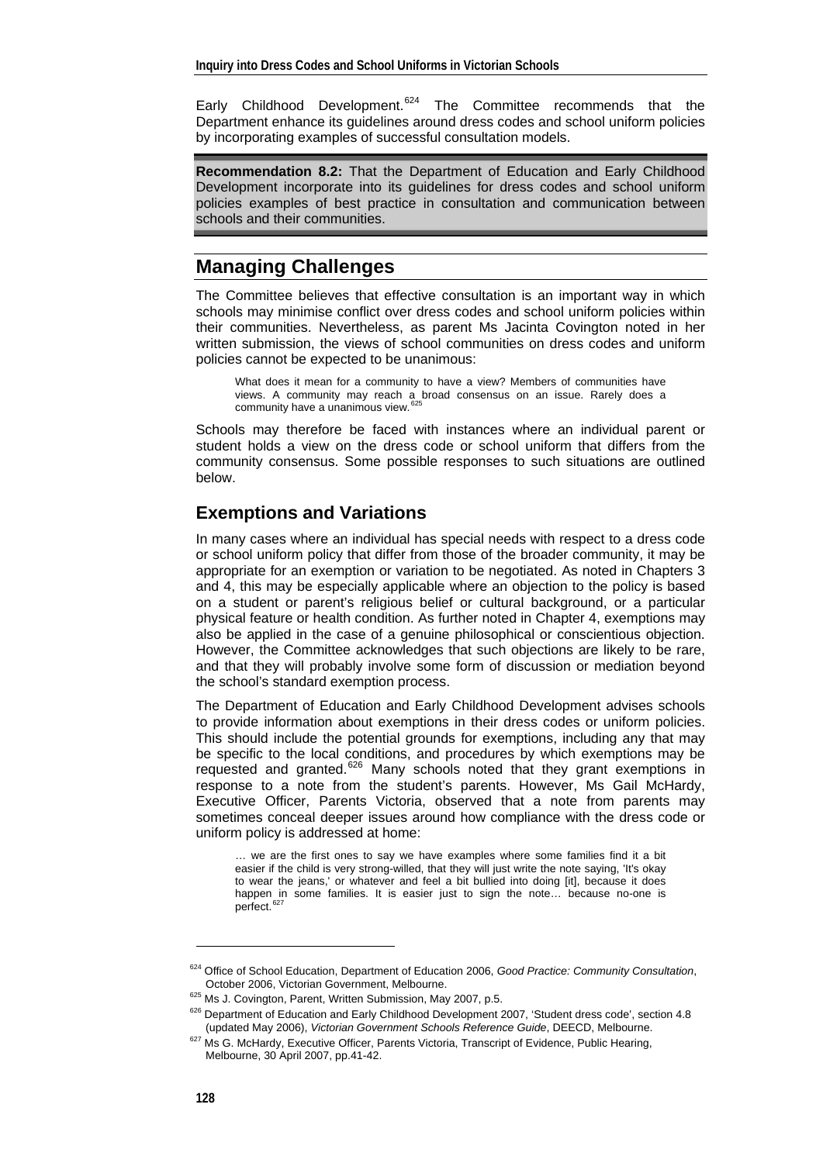Early Childhood Development.<sup>[624](#page-9-0)</sup> The Committee recommends that the Department enhance its guidelines around dress codes and school uniform policies by incorporating examples of successful consultation models.

**Recommendation 8.2:** That the Department of Education and Early Childhood Development incorporate into its guidelines for dress codes and school uniform policies examples of best practice in consultation and communication between schools and their communities.

### **Managing Challenges**

The Committee believes that effective consultation is an important way in which schools may minimise conflict over dress codes and school uniform policies within their communities. Nevertheless, as parent Ms Jacinta Covington noted in her written submission, the views of school communities on dress codes and uniform policies cannot be expected to be unanimous:

What does it mean for a community to have a view? Members of communities have views. A community may reach a broad consensus on an issue. Rarely does a community have a unanimous view.<sup>[625](#page-9-1)</sup>

Schools may therefore be faced with instances where an individual parent or student holds a view on the dress code or school uniform that differs from the community consensus. Some possible responses to such situations are outlined below.

#### **Exemptions and Variations**

In many cases where an individual has special needs with respect to a dress code or school uniform policy that differ from those of the broader community, it may be appropriate for an exemption or variation to be negotiated. As noted in Chapters 3 and 4, this may be especially applicable where an objection to the policy is based on a student or parent's religious belief or cultural background, or a particular physical feature or health condition. As further noted in Chapter 4, exemptions may also be applied in the case of a genuine philosophical or conscientious objection. However, the Committee acknowledges that such objections are likely to be rare, and that they will probably involve some form of discussion or mediation beyond the school's standard exemption process.

The Department of Education and Early Childhood Development advises schools to provide information about exemptions in their dress codes or uniform policies. This should include the potential grounds for exemptions, including any that may be specific to the local conditions, and procedures by which exemptions may be requested and granted.<sup>[626](#page-9-2)</sup> Many schools noted that they grant exemptions in response to a note from the student's parents. However, Ms Gail McHardy, Executive Officer, Parents Victoria, observed that a note from parents may sometimes conceal deeper issues around how compliance with the dress code or uniform policy is addressed at home:

… we are the first ones to say we have examples where some families find it a bit easier if the child is very strong-willed, that they will just write the note saying, 'It's okay to wear the jeans,' or whatever and feel a bit bullied into doing [it], because it does happen in some families. It is easier just to sign the note... because no-one is perfect.<sup>[627](#page-9-3)</sup>

<span id="page-9-0"></span><sup>624</sup> Office of School Education, Department of Education 2006, *Good Practice: Community Consultation*,

<span id="page-9-1"></span>October 2006, Victorian Government, Melbourne.<br><sup>625</sup> Ms J. Covington, Parent, Written Submission, May 2007, p.5.<br><sup>626</sup> Department of Education and Early Childhood Development 2007, 'Student dress code', section 4.8

<span id="page-9-3"></span><span id="page-9-2"></span><sup>(</sup>updated May 2006), *Victorian Government Schools Reference Guide*, DEECD, Melbourne. 627 Ms G. McHardy, Executive Officer, Parents Victoria, Transcript of Evidence, Public Hearing, Melbourne, 30 April 2007, pp.41-42.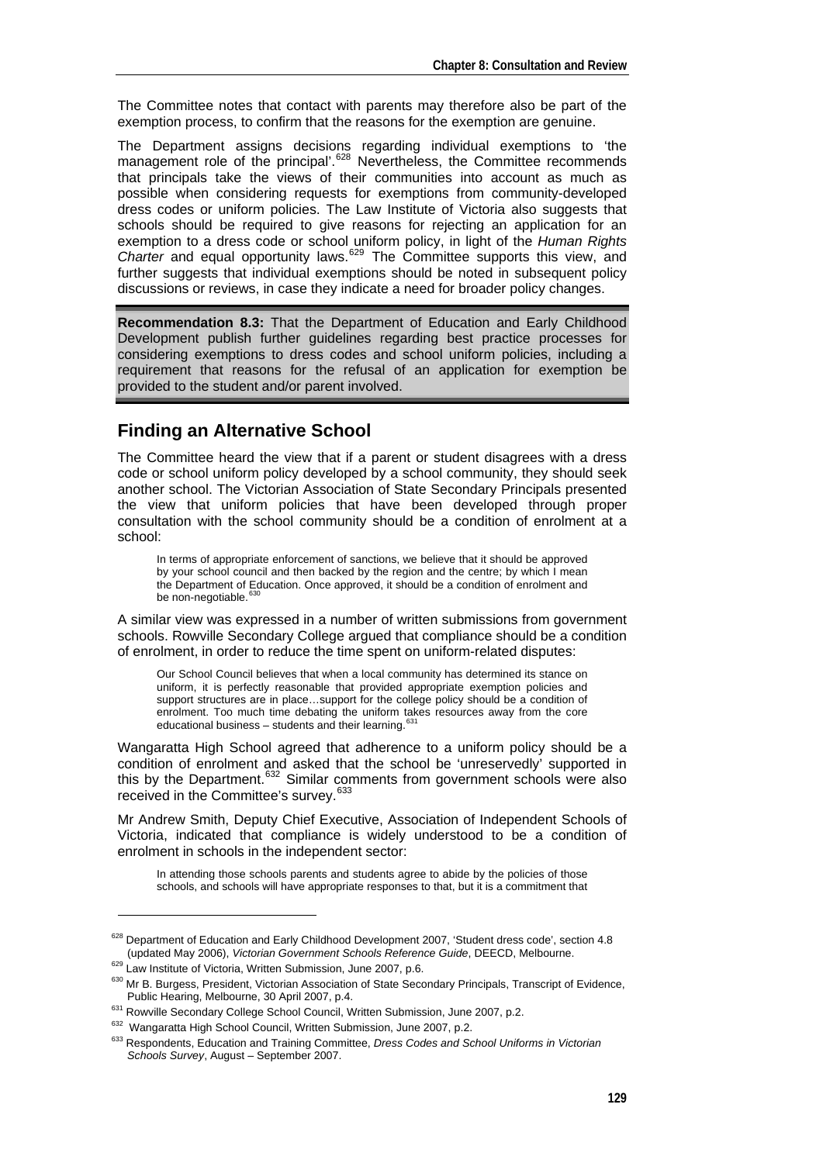The Committee notes that contact with parents may therefore also be part of the exemption process, to confirm that the reasons for the exemption are genuine.

The Department assigns decisions regarding individual exemptions to 'the management role of the principal'.<sup>[628](#page-10-0)</sup> Nevertheless, the Committee recommends that principals take the views of their communities into account as much as possible when considering requests for exemptions from community-developed dress codes or uniform policies. The Law Institute of Victoria also suggests that schools should be required to give reasons for rejecting an application for an exemption to a dress code or school uniform policy, in light of the *Human Rights*  Charter and equal opportunity laws.<sup>[629](#page-10-1)</sup> The Committee supports this view, and further suggests that individual exemptions should be noted in subsequent policy discussions or reviews, in case they indicate a need for broader policy changes.

**Recommendation 8.3:** That the Department of Education and Early Childhood Development publish further guidelines regarding best practice processes for considering exemptions to dress codes and school uniform policies, including a requirement that reasons for the refusal of an application for exemption be provided to the student and/or parent involved.

#### **Finding an Alternative School**

The Committee heard the view that if a parent or student disagrees with a dress code or school uniform policy developed by a school community, they should seek another school. The Victorian Association of State Secondary Principals presented the view that uniform policies that have been developed through proper consultation with the school community should be a condition of enrolment at a school:

In terms of appropriate enforcement of sanctions, we believe that it should be approved by your school council and then backed by the region and the centre; by which I mean the Department of Education. Once approved, it should be a condition of enrolment and be non-negotiable.<sup>63</sup>

A similar view was expressed in a number of written submissions from government schools. Rowville Secondary College argued that compliance should be a condition of enrolment, in order to reduce the time spent on uniform-related disputes:

Our School Council believes that when a local community has determined its stance on uniform, it is perfectly reasonable that provided appropriate exemption policies and support structures are in place...support for the college policy should be a condition of enrolment. Too much time debating the uniform takes resources away from the core educational business – students and their learning.  $63$ <sup>2</sup>

Wangaratta High School agreed that adherence to a uniform policy should be a condition of enrolment and asked that the school be 'unreservedly' supported in this by the Department. $632$  Similar comments from government schools were also received in the Committee's survey.[633](#page-10-5)

Mr Andrew Smith, Deputy Chief Executive, Association of Independent Schools of Victoria, indicated that compliance is widely understood to be a condition of enrolment in schools in the independent sector:

In attending those schools parents and students agree to abide by the policies of those schools, and schools will have appropriate responses to that, but it is a commitment that

<span id="page-10-0"></span><sup>628</sup> Department of Education and Early Childhood Development 2007, 'Student dress code', section 4.8

<span id="page-10-1"></span>

<sup>(</sup>updated May 2006), *Victorian Government Schools Reference Guide*, DEECD, Melbourne.<br><sup>629</sup> Law Institute of Victoria, Written Submission, June 2007, p.6.<br><sup>630</sup> Mr B. Burgess, President, Victorian Association of State Seco

<span id="page-10-5"></span><span id="page-10-4"></span>

<span id="page-10-3"></span><span id="page-10-2"></span><sup>&</sup>lt;sup>631</sup> Rowville Secondary College School Council, Written Submission, June 2007, p.2.<br><sup>632</sup> Wangaratta High School Council, Written Submission, June 2007, p.2.<br><sup>633</sup> Respondents, Education and Training Committee, *Dress Cod Schools Survey*, August – September 2007.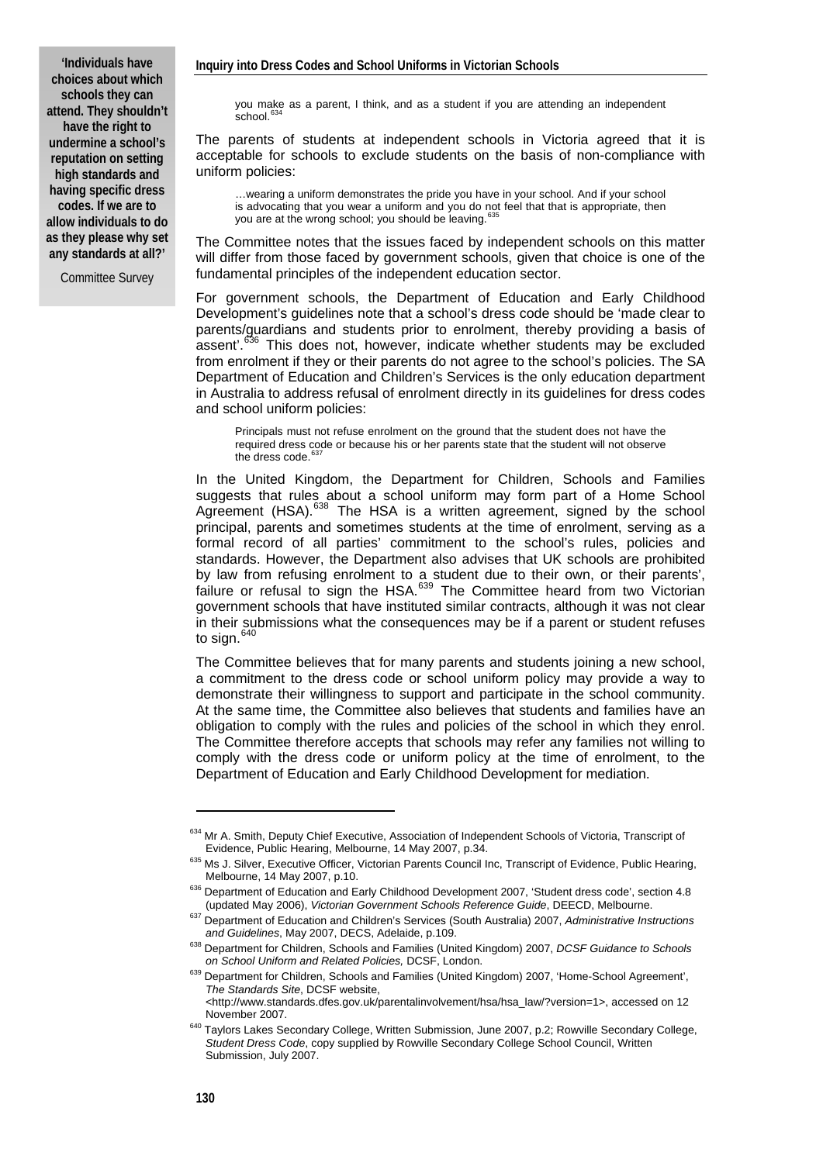**'Individuals have choices about which schools they can attend. They shouldn't have the right to undermine a school's reputation on setting high standards and having specific dress codes. If we are to allow individuals to do as they please why set any standards at all?'** 

Committee Survey

you make as a parent, I think, and as a student if you are attending an independent  $s$ chool. $6$ 

The parents of students at independent schools in Victoria agreed that it is acceptable for schools to exclude students on the basis of non-compliance with uniform policies:

…wearing a uniform demonstrates the pride you have in your school. And if your school is advocating that you wear a uniform and you do not feel that that is appropriate, then you are at the wrong school; you should be leaving.

The Committee notes that the issues faced by independent schools on this matter will differ from those faced by government schools, given that choice is one of the fundamental principles of the independent education sector.

For government schools, the Department of Education and Early Childhood Development's guidelines note that a school's dress code should be 'made clear to parents/guardians and students prior to enrolment, thereby providing a basis of assent'.<sup>[636](#page-11-2)</sup> This does not, however, indicate whether students may be excluded from enrolment if they or their parents do not agree to the school's policies. The SA Department of Education and Children's Services is the only education department in Australia to address refusal of enrolment directly in its guidelines for dress codes and school uniform policies:

Principals must not refuse enrolment on the ground that the student does not have the required dress code or because his or her parents state that the student will not observe<br>the dress code.<sup>[637](#page-11-3)</sup>

In the United Kingdom, the Department for Children, Schools and Families suggests that rules about a school uniform may form part of a Home School Agreement (HSA).[638](#page-11-4) The HSA is a written agreement, signed by the school principal, parents and sometimes students at the time of enrolment, serving as a formal record of all parties' commitment to the school's rules, policies and standards. However, the Department also advises that UK schools are prohibited by law from refusing enrolment to a student due to their own, or their parents', failure or refusal to sign the HSA.<sup>[639](#page-11-5)</sup> The Committee heard from two Victorian government schools that have instituted similar contracts, although it was not clear in their submissions what the consequences may be if a parent or student refuses to sign. [640](#page-11-6)

The Committee believes that for many parents and students joining a new school, a commitment to the dress code or school uniform policy may provide a way to demonstrate their willingness to support and participate in the school community. At the same time, the Committee also believes that students and families have an obligation to comply with the rules and policies of the school in which they enrol. The Committee therefore accepts that schools may refer any families not willing to comply with the dress code or uniform policy at the time of enrolment, to the Department of Education and Early Childhood Development for mediation.

<span id="page-11-0"></span><sup>634</sup> Mr A. Smith, Deputy Chief Executive, Association of Independent Schools of Victoria, Transcript of

Evidence, Public Hearing, Melbourne, 14 May 2007, p.34.<br><sup>635</sup> Ms J. Silver, Executive Officer, Victorian Parents Council Inc, Transcript of Evidence, Public Hearing,<br>Melbourne, 14 May 2007, p.10.

<span id="page-11-2"></span><span id="page-11-1"></span><sup>636</sup> Department of Education and Early Childhood Development 2007, 'Student dress code', section 4.8

<sup>(</sup>updated May 2006), *Victorian Government Schools Reference Guide*, DEECD, Melbourne. 637 Department of Education and Children's Services (South Australia) 2007, *Administrative Instructions* 

<span id="page-11-4"></span><span id="page-11-3"></span>and Guidelines, May 2007, DECS, Adelaide, p.109.<br><sup>638</sup> Department for Children, Schools and Families (United Kingdom) 2007, *DCSF Guidance to Schools on School Uniform and Related Policies*, DCSF, London.

<span id="page-11-5"></span><sup>&</sup>lt;sup>639</sup> Department for Children, Schools and Families (United Kingdom) 2007, 'Home-School Agreement', *The Standards Site*, DCSF website,

<sup>&</sup>lt;http://www.standards.dfes.gov.uk/parentalinvolvement/hsa/hsa\_law/?version=1>, accessed on 12

<span id="page-11-6"></span>November 2007. 640 Taylors Lakes Secondary College, Written Submission, June 2007, p.2; Rowville Secondary College, *Student Dress Code*, copy supplied by Rowville Secondary College School Council, Written Submission, July 2007.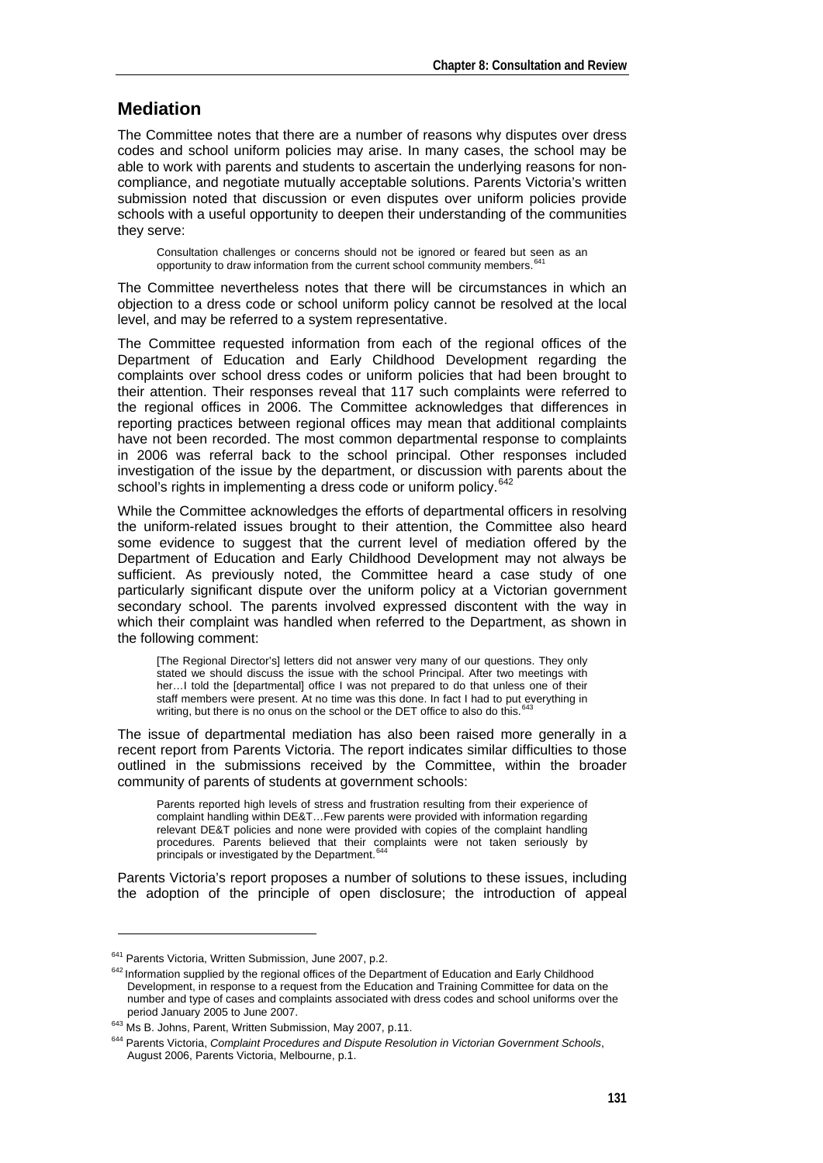#### **Mediation**

The Committee notes that there are a number of reasons why disputes over dress codes and school uniform policies may arise. In many cases, the school may be able to work with parents and students to ascertain the underlying reasons for noncompliance, and negotiate mutually acceptable solutions. Parents Victoria's written submission noted that discussion or even disputes over uniform policies provide schools with a useful opportunity to deepen their understanding of the communities they serve:

Consultation challenges or concerns should not be ignored or feared but seen as an opportunity to draw information from the current school community members.<sup>6</sup>

The Committee nevertheless notes that there will be circumstances in which an objection to a dress code or school uniform policy cannot be resolved at the local level, and may be referred to a system representative.

The Committee requested information from each of the regional offices of the Department of Education and Early Childhood Development regarding the complaints over school dress codes or uniform policies that had been brought to their attention. Their responses reveal that 117 such complaints were referred to the regional offices in 2006. The Committee acknowledges that differences in reporting practices between regional offices may mean that additional complaints have not been recorded. The most common departmental response to complaints in 2006 was referral back to the school principal. Other responses included investigation of the issue by the department, or discussion with parents about the school's rights in implementing a dress code or uniform policy.<sup>[642](#page-12-1)</sup>

While the Committee acknowledges the efforts of departmental officers in resolving the uniform-related issues brought to their attention, the Committee also heard some evidence to suggest that the current level of mediation offered by the Department of Education and Early Childhood Development may not always be sufficient. As previously noted, the Committee heard a case study of one particularly significant dispute over the uniform policy at a Victorian government secondary school. The parents involved expressed discontent with the way in which their complaint was handled when referred to the Department, as shown in the following comment:

[The Regional Director's] letters did not answer very many of our questions. They only stated we should discuss the issue with the school Principal. After two meetings with her...I told the [departmental] office I was not prepared to do that unless one of their staff members were present. At no time was this done. In fact I had to put everything in writing, but there is no onus on the school or the DET office to also do this. [643](#page-12-2)

The issue of departmental mediation has also been raised more generally in a recent report from Parents Victoria. The report indicates similar difficulties to those outlined in the submissions received by the Committee, within the broader community of parents of students at government schools:

Parents reported high levels of stress and frustration resulting from their experience of complaint handling within DE&T…Few parents were provided with information regarding relevant DE&T policies and none were provided with copies of the complaint handling procedures. Parents believed that their complaints were not taken seriously by principals or investigated by the Department.<sup>[644](#page-12-3)</sup>

Parents Victoria's report proposes a number of solutions to these issues, including the adoption of the principle of open disclosure; the introduction of appeal

<span id="page-12-1"></span><span id="page-12-0"></span> $641$  Parents Victoria, Written Submission, June 2007, p.2.<br> $642$  Information supplied by the regional offices of the Department of Education and Early Childhood Development, in response to a request from the Education and Training Committee for data on the number and type of cases and complaints associated with dress codes and school uniforms over the period January 2005 to June 2007.

<span id="page-12-3"></span><span id="page-12-2"></span><sup>&</sup>lt;sup>643</sup> Ms B. Johns, Parent, Written Submission, May 2007, p.11.<br><sup>643</sup> Parents Victoria, *Complaint Procedures and Dispute Resolution in Victorian Government Schools*, August 2006, Parents Victoria, Melbourne, p.1.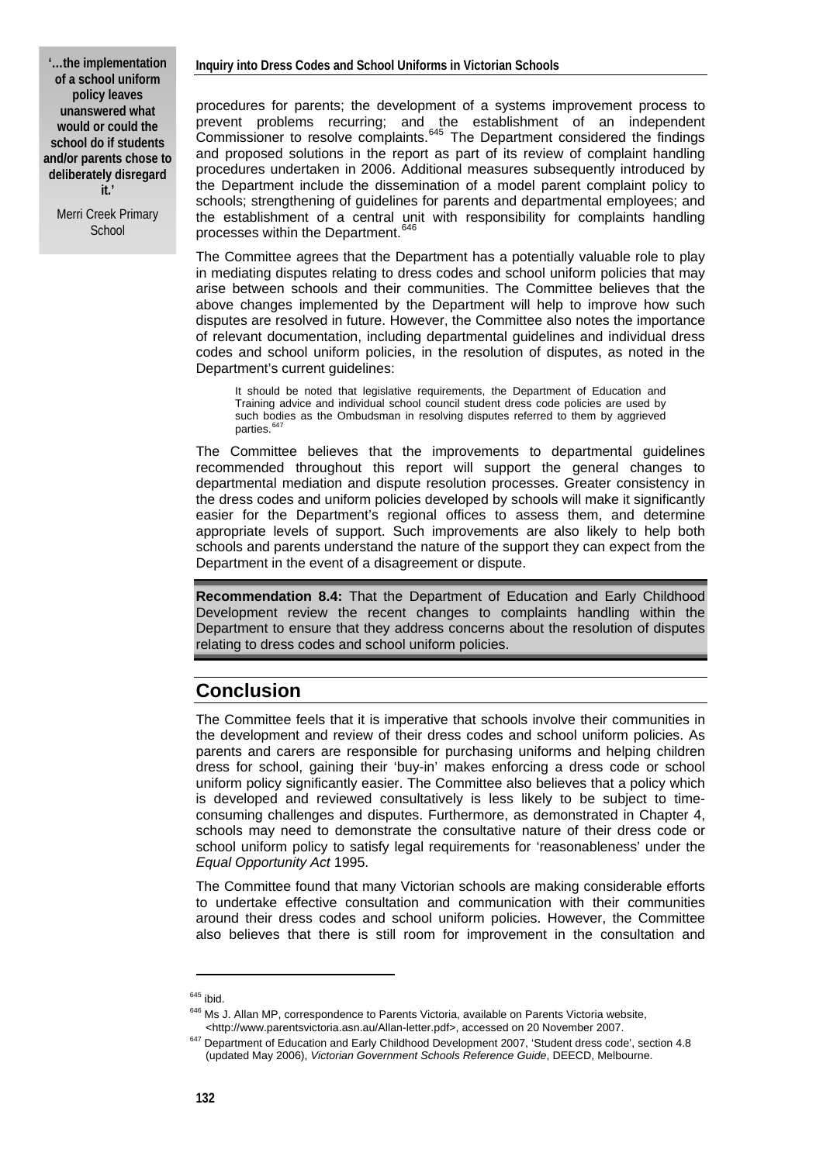Merri Creek Primary **School** 

procedures for parents; the development of a systems improvement process to prevent problems recurring; and the establishment of an independent Commissioner to resolve complaints.<sup>[645](#page-13-0)</sup> The Department considered the findings and proposed solutions in the report as part of its review of complaint handling procedures undertaken in 2006. Additional measures subsequently introduced by the Department include the dissemination of a model parent complaint policy to schools; strengthening of guidelines for parents and departmental employees; and the establishment of a central unit with responsibility for complaints handling processes within the Department.<sup>[646](#page-13-1)</sup>

The Committee agrees that the Department has a potentially valuable role to play in mediating disputes relating to dress codes and school uniform policies that may arise between schools and their communities. The Committee believes that the above changes implemented by the Department will help to improve how such disputes are resolved in future. However, the Committee also notes the importance of relevant documentation, including departmental guidelines and individual dress codes and school uniform policies, in the resolution of disputes, as noted in the Department's current guidelines:

It should be noted that legislative requirements, the Department of Education and Training advice and individual school council student dress code policies are used by such bodies as the Ombudsman in resolving disputes referred to them by aggrieved parties.<sup>6</sup>

The Committee believes that the improvements to departmental guidelines recommended throughout this report will support the general changes to departmental mediation and dispute resolution processes. Greater consistency in the dress codes and uniform policies developed by schools will make it significantly easier for the Department's regional offices to assess them, and determine appropriate levels of support. Such improvements are also likely to help both schools and parents understand the nature of the support they can expect from the Department in the event of a disagreement or dispute.

**Recommendation 8.4:** That the Department of Education and Early Childhood Development review the recent changes to complaints handling within the Department to ensure that they address concerns about the resolution of disputes relating to dress codes and school uniform policies.

## **Conclusion**

The Committee feels that it is imperative that schools involve their communities in the development and review of their dress codes and school uniform policies. As parents and carers are responsible for purchasing uniforms and helping children dress for school, gaining their 'buy-in' makes enforcing a dress code or school uniform policy significantly easier. The Committee also believes that a policy which is developed and reviewed consultatively is less likely to be subject to timeconsuming challenges and disputes. Furthermore, as demonstrated in Chapter 4, schools may need to demonstrate the consultative nature of their dress code or school uniform policy to satisfy legal requirements for 'reasonableness' under the *Equal Opportunity Act* 1995.

The Committee found that many Victorian schools are making considerable efforts to undertake effective consultation and communication with their communities around their dress codes and school uniform policies. However, the Committee also believes that there is still room for improvement in the consultation and

<span id="page-13-0"></span><sup>&</sup>lt;sup>645</sup> ibid.<br><sup>646</sup> Ms J. Allan MP, correspondence to Parents Victoria, available on Parents Victoria website,

<span id="page-13-2"></span><span id="page-13-1"></span><sup>&</sup>lt;http://www.parentsvictoria.asn.au/Allan-letter.pdf>, accessed on 20 November 2007. 647 Department of Education and Early Childhood Development 2007, 'Student dress code', section 4.8 (updated May 2006), *Victorian Government Schools Reference Guide*, DEECD, Melbourne.